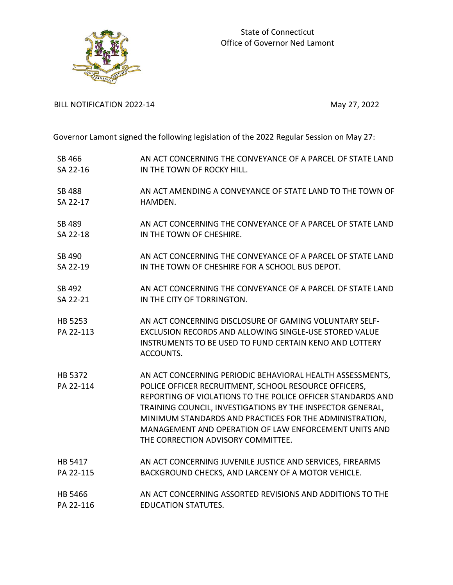



BILL NOTIFICATION 2022-14 May 27, 2022

Governor Lamont signed the following legislation of the 2022 Regular Session on May 27:

| SB 466               | AN ACT CONCERNING THE CONVEYANCE OF A PARCEL OF STATE LAND                                                                                                                                                                                                                                                                                                                                                |
|----------------------|-----------------------------------------------------------------------------------------------------------------------------------------------------------------------------------------------------------------------------------------------------------------------------------------------------------------------------------------------------------------------------------------------------------|
| SA 22-16             | IN THE TOWN OF ROCKY HILL.                                                                                                                                                                                                                                                                                                                                                                                |
| <b>SB 488</b>        | AN ACT AMENDING A CONVEYANCE OF STATE LAND TO THE TOWN OF                                                                                                                                                                                                                                                                                                                                                 |
| SA 22-17             | HAMDEN.                                                                                                                                                                                                                                                                                                                                                                                                   |
| SB 489               | AN ACT CONCERNING THE CONVEYANCE OF A PARCEL OF STATE LAND                                                                                                                                                                                                                                                                                                                                                |
| SA 22-18             | IN THE TOWN OF CHESHIRE.                                                                                                                                                                                                                                                                                                                                                                                  |
| SB 490               | AN ACT CONCERNING THE CONVEYANCE OF A PARCEL OF STATE LAND                                                                                                                                                                                                                                                                                                                                                |
| SA 22-19             | IN THE TOWN OF CHESHIRE FOR A SCHOOL BUS DEPOT.                                                                                                                                                                                                                                                                                                                                                           |
| SB 492               | AN ACT CONCERNING THE CONVEYANCE OF A PARCEL OF STATE LAND                                                                                                                                                                                                                                                                                                                                                |
| SA 22-21             | IN THE CITY OF TORRINGTON.                                                                                                                                                                                                                                                                                                                                                                                |
| HB 5253<br>PA 22-113 | AN ACT CONCERNING DISCLOSURE OF GAMING VOLUNTARY SELF-<br>EXCLUSION RECORDS AND ALLOWING SINGLE-USE STORED VALUE<br>INSTRUMENTS TO BE USED TO FUND CERTAIN KENO AND LOTTERY<br>ACCOUNTS.                                                                                                                                                                                                                  |
| HB 5372<br>PA 22-114 | AN ACT CONCERNING PERIODIC BEHAVIORAL HEALTH ASSESSMENTS,<br>POLICE OFFICER RECRUITMENT, SCHOOL RESOURCE OFFICERS,<br>REPORTING OF VIOLATIONS TO THE POLICE OFFICER STANDARDS AND<br>TRAINING COUNCIL, INVESTIGATIONS BY THE INSPECTOR GENERAL,<br>MINIMUM STANDARDS AND PRACTICES FOR THE ADMINISTRATION,<br>MANAGEMENT AND OPERATION OF LAW ENFORCEMENT UNITS AND<br>THE CORRECTION ADVISORY COMMITTEE. |
| HB 5417              | AN ACT CONCERNING JUVENILE JUSTICE AND SERVICES, FIREARMS                                                                                                                                                                                                                                                                                                                                                 |
| PA 22-115            | BACKGROUND CHECKS, AND LARCENY OF A MOTOR VEHICLE.                                                                                                                                                                                                                                                                                                                                                        |
| HB 5466              | AN ACT CONCERNING ASSORTED REVISIONS AND ADDITIONS TO THE                                                                                                                                                                                                                                                                                                                                                 |
| PA 22-116            | <b>EDUCATION STATUTES.</b>                                                                                                                                                                                                                                                                                                                                                                                |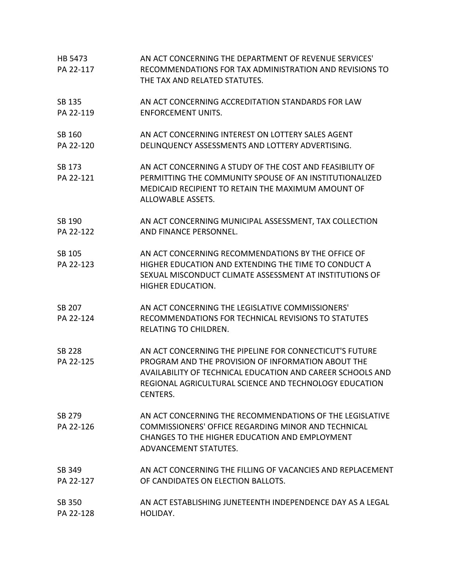| <b>HB 5473</b><br>PA 22-117 | AN ACT CONCERNING THE DEPARTMENT OF REVENUE SERVICES'<br>RECOMMENDATIONS FOR TAX ADMINISTRATION AND REVISIONS TO<br>THE TAX AND RELATED STATUTES.                                                                                                 |
|-----------------------------|---------------------------------------------------------------------------------------------------------------------------------------------------------------------------------------------------------------------------------------------------|
| SB 135<br>PA 22-119         | AN ACT CONCERNING ACCREDITATION STANDARDS FOR LAW<br><b>ENFORCEMENT UNITS.</b>                                                                                                                                                                    |
| SB 160<br>PA 22-120         | AN ACT CONCERNING INTEREST ON LOTTERY SALES AGENT<br>DELINQUENCY ASSESSMENTS AND LOTTERY ADVERTISING.                                                                                                                                             |
| SB 173<br>PA 22-121         | AN ACT CONCERNING A STUDY OF THE COST AND FEASIBILITY OF<br>PERMITTING THE COMMUNITY SPOUSE OF AN INSTITUTIONALIZED<br>MEDICAID RECIPIENT TO RETAIN THE MAXIMUM AMOUNT OF<br>ALLOWABLE ASSETS.                                                    |
| SB 190<br>PA 22-122         | AN ACT CONCERNING MUNICIPAL ASSESSMENT, TAX COLLECTION<br>AND FINANCE PERSONNEL.                                                                                                                                                                  |
| SB 105<br>PA 22-123         | AN ACT CONCERNING RECOMMENDATIONS BY THE OFFICE OF<br>HIGHER EDUCATION AND EXTENDING THE TIME TO CONDUCT A<br>SEXUAL MISCONDUCT CLIMATE ASSESSMENT AT INSTITUTIONS OF<br><b>HIGHER EDUCATION.</b>                                                 |
| SB 207<br>PA 22-124         | AN ACT CONCERNING THE LEGISLATIVE COMMISSIONERS'<br>RECOMMENDATIONS FOR TECHNICAL REVISIONS TO STATUTES<br>RELATING TO CHILDREN.                                                                                                                  |
| <b>SB 228</b><br>PA 22-125  | AN ACT CONCERNING THE PIPELINE FOR CONNECTICUT'S FUTURE<br>PROGRAM AND THE PROVISION OF INFORMATION ABOUT THE<br>AVAILABILITY OF TECHNICAL EDUCATION AND CAREER SCHOOLS AND<br>REGIONAL AGRICULTURAL SCIENCE AND TECHNOLOGY EDUCATION<br>CENTERS. |
| SB 279<br>PA 22-126         | AN ACT CONCERNING THE RECOMMENDATIONS OF THE LEGISLATIVE<br>COMMISSIONERS' OFFICE REGARDING MINOR AND TECHNICAL<br>CHANGES TO THE HIGHER EDUCATION AND EMPLOYMENT<br>ADVANCEMENT STATUTES.                                                        |
| SB 349<br>PA 22-127         | AN ACT CONCERNING THE FILLING OF VACANCIES AND REPLACEMENT<br>OF CANDIDATES ON ELECTION BALLOTS.                                                                                                                                                  |
| SB 350<br>PA 22-128         | AN ACT ESTABLISHING JUNETEENTH INDEPENDENCE DAY AS A LEGAL<br>HOLIDAY.                                                                                                                                                                            |